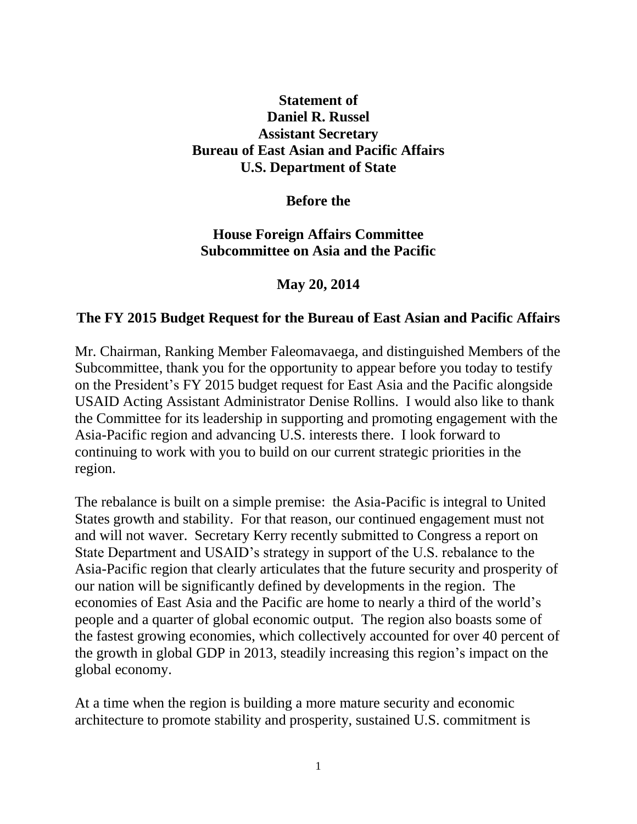# **Statement of Daniel R. Russel Assistant Secretary Bureau of East Asian and Pacific Affairs U.S. Department of State**

**Before the**

# **House Foreign Affairs Committee Subcommittee on Asia and the Pacific**

**May 20, 2014**

### **The FY 2015 Budget Request for the Bureau of East Asian and Pacific Affairs**

Mr. Chairman, Ranking Member Faleomavaega, and distinguished Members of the Subcommittee, thank you for the opportunity to appear before you today to testify on the President's FY 2015 budget request for East Asia and the Pacific alongside USAID Acting Assistant Administrator Denise Rollins. I would also like to thank the Committee for its leadership in supporting and promoting engagement with the Asia-Pacific region and advancing U.S. interests there. I look forward to continuing to work with you to build on our current strategic priorities in the region.

The rebalance is built on a simple premise: the Asia-Pacific is integral to United States growth and stability. For that reason, our continued engagement must not and will not waver. Secretary Kerry recently submitted to Congress a report on State Department and USAID's strategy in support of the U.S. rebalance to the Asia-Pacific region that clearly articulates that the future security and prosperity of our nation will be significantly defined by developments in the region. The economies of East Asia and the Pacific are home to nearly a third of the world's people and a quarter of global economic output. The region also boasts some of the fastest growing economies, which collectively accounted for over 40 percent of the growth in global GDP in 2013, steadily increasing this region's impact on the global economy.

At a time when the region is building a more mature security and economic architecture to promote stability and prosperity, sustained U.S. commitment is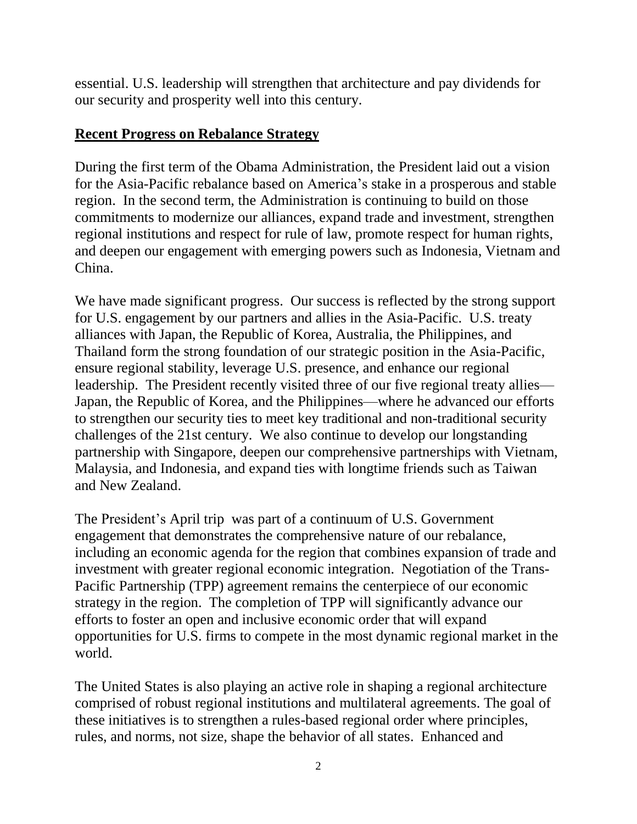essential. U.S. leadership will strengthen that architecture and pay dividends for our security and prosperity well into this century.

# **Recent Progress on Rebalance Strategy**

During the first term of the Obama Administration, the President laid out a vision for the Asia-Pacific rebalance based on America's stake in a prosperous and stable region. In the second term, the Administration is continuing to build on those commitments to modernize our alliances, expand trade and investment, strengthen regional institutions and respect for rule of law, promote respect for human rights, and deepen our engagement with emerging powers such as Indonesia, Vietnam and China.

We have made significant progress. Our success is reflected by the strong support for U.S. engagement by our partners and allies in the Asia-Pacific. U.S. treaty alliances with Japan, the Republic of Korea, Australia, the Philippines, and Thailand form the strong foundation of our strategic position in the Asia-Pacific, ensure regional stability, leverage U.S. presence, and enhance our regional leadership. The President recently visited three of our five regional treaty allies— Japan, the Republic of Korea, and the Philippines—where he advanced our efforts to strengthen our security ties to meet key traditional and non-traditional security challenges of the 21st century. We also continue to develop our longstanding partnership with Singapore, deepen our comprehensive partnerships with Vietnam, Malaysia, and Indonesia, and expand ties with longtime friends such as Taiwan and New Zealand.

The President's April trip was part of a continuum of U.S. Government engagement that demonstrates the comprehensive nature of our rebalance, including an economic agenda for the region that combines expansion of trade and investment with greater regional economic integration. Negotiation of the Trans-Pacific Partnership (TPP) agreement remains the centerpiece of our economic strategy in the region. The completion of TPP will significantly advance our efforts to foster an open and inclusive economic order that will expand opportunities for U.S. firms to compete in the most dynamic regional market in the world.

The United States is also playing an active role in shaping a regional architecture comprised of robust regional institutions and multilateral agreements. The goal of these initiatives is to strengthen a rules-based regional order where principles, rules, and norms, not size, shape the behavior of all states. Enhanced and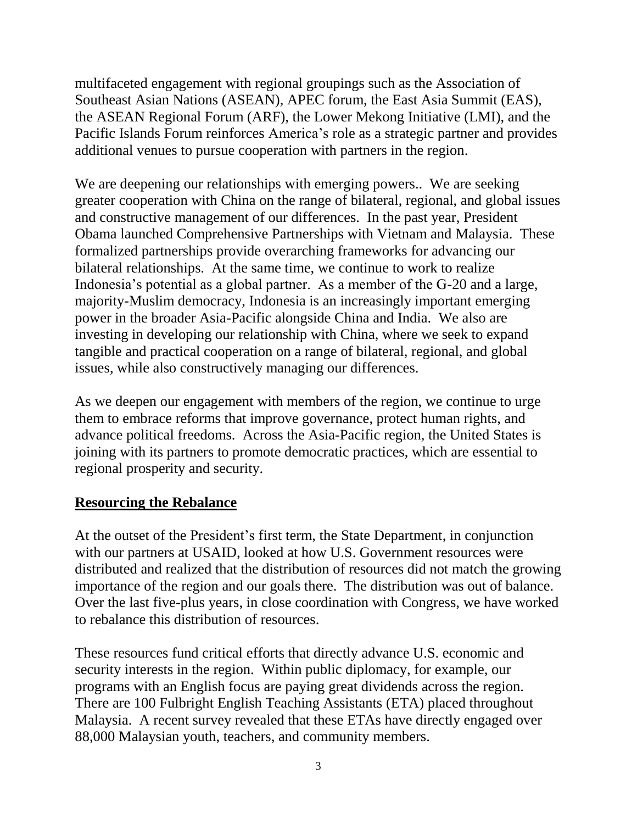multifaceted engagement with regional groupings such as the Association of Southeast Asian Nations (ASEAN), APEC forum, the East Asia Summit (EAS), the ASEAN Regional Forum (ARF), the Lower Mekong Initiative (LMI), and the Pacific Islands Forum reinforces America's role as a strategic partner and provides additional venues to pursue cooperation with partners in the region.

We are deepening our relationships with emerging powers.. We are seeking greater cooperation with China on the range of bilateral, regional, and global issues and constructive management of our differences. In the past year, President Obama launched Comprehensive Partnerships with Vietnam and Malaysia. These formalized partnerships provide overarching frameworks for advancing our bilateral relationships. At the same time, we continue to work to realize Indonesia's potential as a global partner. As a member of the G-20 and a large, majority-Muslim democracy, Indonesia is an increasingly important emerging power in the broader Asia-Pacific alongside China and India. We also are investing in developing our relationship with China, where we seek to expand tangible and practical cooperation on a range of bilateral, regional, and global issues, while also constructively managing our differences.

As we deepen our engagement with members of the region, we continue to urge them to embrace reforms that improve governance, protect human rights, and advance political freedoms. Across the Asia-Pacific region, the United States is joining with its partners to promote democratic practices, which are essential to regional prosperity and security.

#### **Resourcing the Rebalance**

At the outset of the President's first term, the State Department, in conjunction with our partners at USAID, looked at how U.S. Government resources were distributed and realized that the distribution of resources did not match the growing importance of the region and our goals there. The distribution was out of balance. Over the last five-plus years, in close coordination with Congress, we have worked to rebalance this distribution of resources.

These resources fund critical efforts that directly advance U.S. economic and security interests in the region. Within public diplomacy, for example, our programs with an English focus are paying great dividends across the region. There are 100 Fulbright English Teaching Assistants (ETA) placed throughout Malaysia. A recent survey revealed that these ETAs have directly engaged over 88,000 Malaysian youth, teachers, and community members.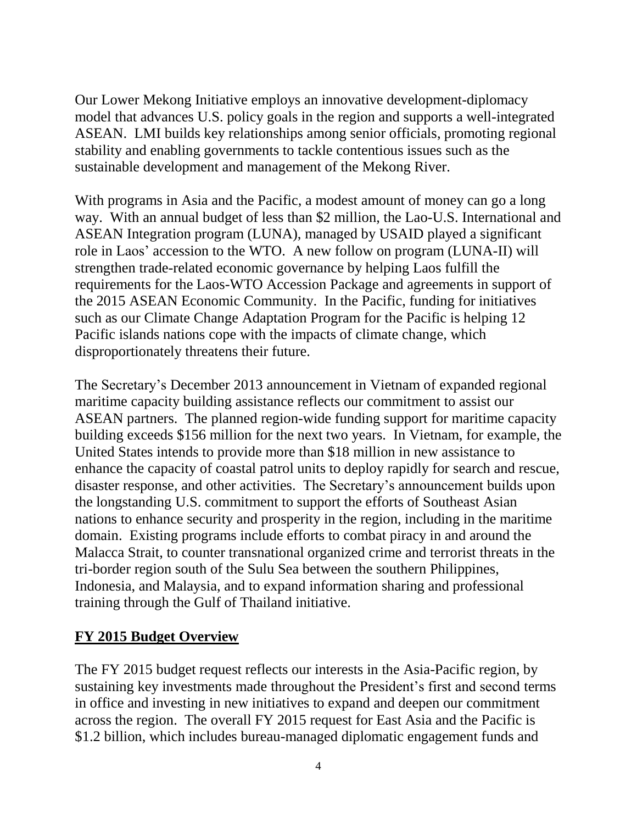Our Lower Mekong Initiative employs an innovative development-diplomacy model that advances U.S. policy goals in the region and supports a well-integrated ASEAN. LMI builds key relationships among senior officials, promoting regional stability and enabling governments to tackle contentious issues such as the sustainable development and management of the Mekong River.

With programs in Asia and the Pacific, a modest amount of money can go a long way. With an annual budget of less than \$2 million, the Lao-U.S. International and ASEAN Integration program (LUNA), managed by USAID played a significant role in Laos' accession to the WTO. A new follow on program (LUNA-II) will strengthen trade-related economic governance by helping Laos fulfill the requirements for the Laos-WTO Accession Package and agreements in support of the 2015 ASEAN Economic Community. In the Pacific, funding for initiatives such as our Climate Change Adaptation Program for the Pacific is helping 12 Pacific islands nations cope with the impacts of climate change, which disproportionately threatens their future.

The Secretary's December 2013 announcement in Vietnam of expanded regional maritime capacity building assistance reflects our commitment to assist our ASEAN partners. The planned region-wide funding support for maritime capacity building exceeds \$156 million for the next two years. In Vietnam, for example, the United States intends to provide more than \$18 million in new assistance to enhance the capacity of coastal patrol units to deploy rapidly for search and rescue, disaster response, and other activities. The Secretary's announcement builds upon the longstanding U.S. commitment to support the efforts of Southeast Asian nations to enhance security and prosperity in the region, including in the maritime domain. Existing programs include efforts to combat piracy in and around the Malacca Strait, to counter transnational organized crime and terrorist threats in the tri-border region south of the Sulu Sea between the southern Philippines, Indonesia, and Malaysia, and to expand information sharing and professional training through the Gulf of Thailand initiative.

# **FY 2015 Budget Overview**

The FY 2015 budget request reflects our interests in the Asia-Pacific region, by sustaining key investments made throughout the President's first and second terms in office and investing in new initiatives to expand and deepen our commitment across the region. The overall FY 2015 request for East Asia and the Pacific is \$1.2 billion, which includes bureau-managed diplomatic engagement funds and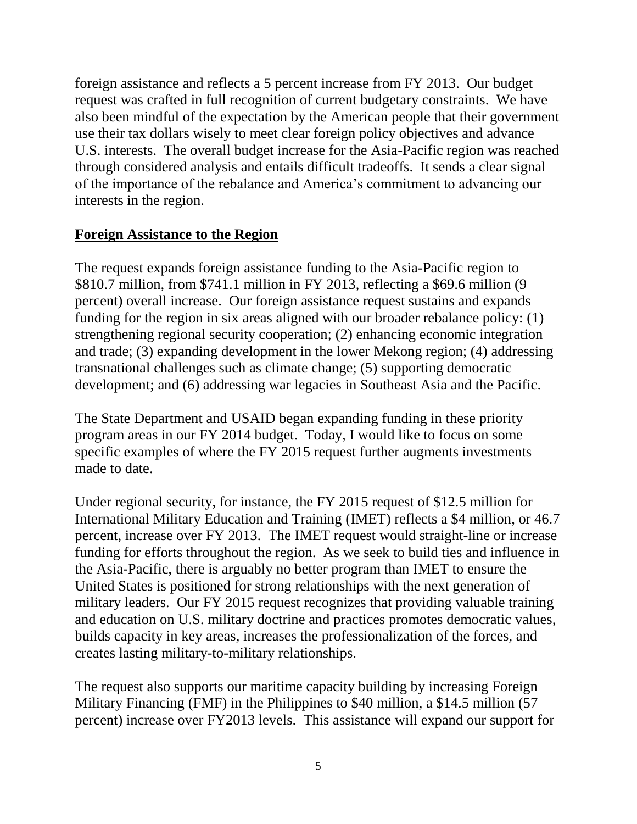foreign assistance and reflects a 5 percent increase from FY 2013. Our budget request was crafted in full recognition of current budgetary constraints. We have also been mindful of the expectation by the American people that their government use their tax dollars wisely to meet clear foreign policy objectives and advance U.S. interests. The overall budget increase for the Asia-Pacific region was reached through considered analysis and entails difficult tradeoffs. It sends a clear signal of the importance of the rebalance and America's commitment to advancing our interests in the region.

### **Foreign Assistance to the Region**

The request expands foreign assistance funding to the Asia-Pacific region to \$810.7 million, from \$741.1 million in FY 2013, reflecting a \$69.6 million (9 percent) overall increase. Our foreign assistance request sustains and expands funding for the region in six areas aligned with our broader rebalance policy: (1) strengthening regional security cooperation; (2) enhancing economic integration and trade; (3) expanding development in the lower Mekong region; (4) addressing transnational challenges such as climate change; (5) supporting democratic development; and (6) addressing war legacies in Southeast Asia and the Pacific.

The State Department and USAID began expanding funding in these priority program areas in our FY 2014 budget. Today, I would like to focus on some specific examples of where the FY 2015 request further augments investments made to date.

Under regional security, for instance, the FY 2015 request of \$12.5 million for International Military Education and Training (IMET) reflects a \$4 million, or 46.7 percent, increase over FY 2013. The IMET request would straight-line or increase funding for efforts throughout the region. As we seek to build ties and influence in the Asia-Pacific, there is arguably no better program than IMET to ensure the United States is positioned for strong relationships with the next generation of military leaders. Our FY 2015 request recognizes that providing valuable training and education on U.S. military doctrine and practices promotes democratic values, builds capacity in key areas, increases the professionalization of the forces, and creates lasting military-to-military relationships.

The request also supports our maritime capacity building by increasing Foreign Military Financing (FMF) in the Philippines to \$40 million, a \$14.5 million (57 percent) increase over FY2013 levels. This assistance will expand our support for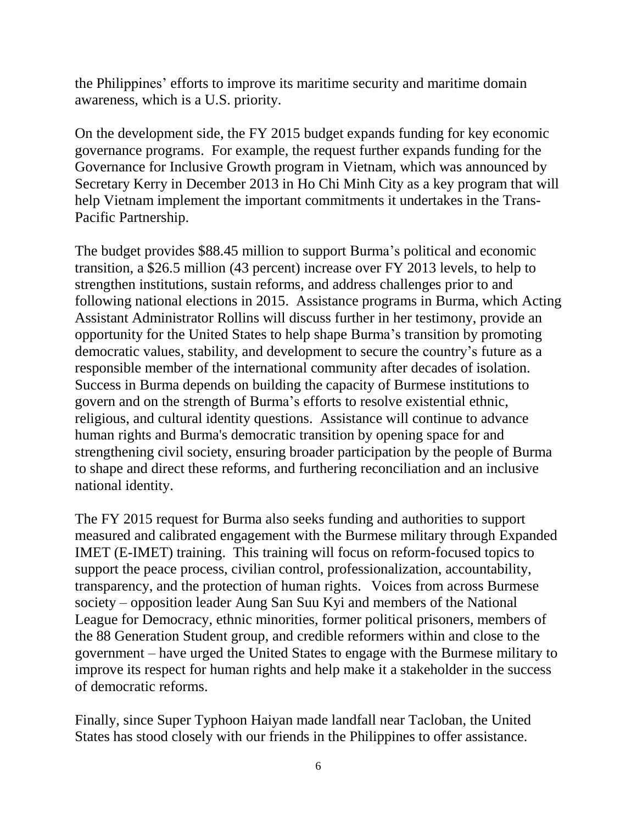the Philippines' efforts to improve its maritime security and maritime domain awareness, which is a U.S. priority.

On the development side, the FY 2015 budget expands funding for key economic governance programs. For example, the request further expands funding for the Governance for Inclusive Growth program in Vietnam, which was announced by Secretary Kerry in December 2013 in Ho Chi Minh City as a key program that will help Vietnam implement the important commitments it undertakes in the Trans-Pacific Partnership.

The budget provides \$88.45 million to support Burma's political and economic transition, a \$26.5 million (43 percent) increase over FY 2013 levels, to help to strengthen institutions, sustain reforms, and address challenges prior to and following national elections in 2015. Assistance programs in Burma, which Acting Assistant Administrator Rollins will discuss further in her testimony, provide an opportunity for the United States to help shape Burma's transition by promoting democratic values, stability, and development to secure the country's future as a responsible member of the international community after decades of isolation. Success in Burma depends on building the capacity of Burmese institutions to govern and on the strength of Burma's efforts to resolve existential ethnic, religious, and cultural identity questions. Assistance will continue to advance human rights and Burma's democratic transition by opening space for and strengthening civil society, ensuring broader participation by the people of Burma to shape and direct these reforms, and furthering reconciliation and an inclusive national identity.

The FY 2015 request for Burma also seeks funding and authorities to support measured and calibrated engagement with the Burmese military through Expanded IMET (E-IMET) training. This training will focus on reform-focused topics to support the peace process, civilian control, professionalization, accountability, transparency, and the protection of human rights. Voices from across Burmese society – opposition leader Aung San Suu Kyi and members of the National League for Democracy, ethnic minorities, former political prisoners, members of the 88 Generation Student group, and credible reformers within and close to the government – have urged the United States to engage with the Burmese military to improve its respect for human rights and help make it a stakeholder in the success of democratic reforms.

Finally, since Super Typhoon Haiyan made landfall near Tacloban, the United States has stood closely with our friends in the Philippines to offer assistance.